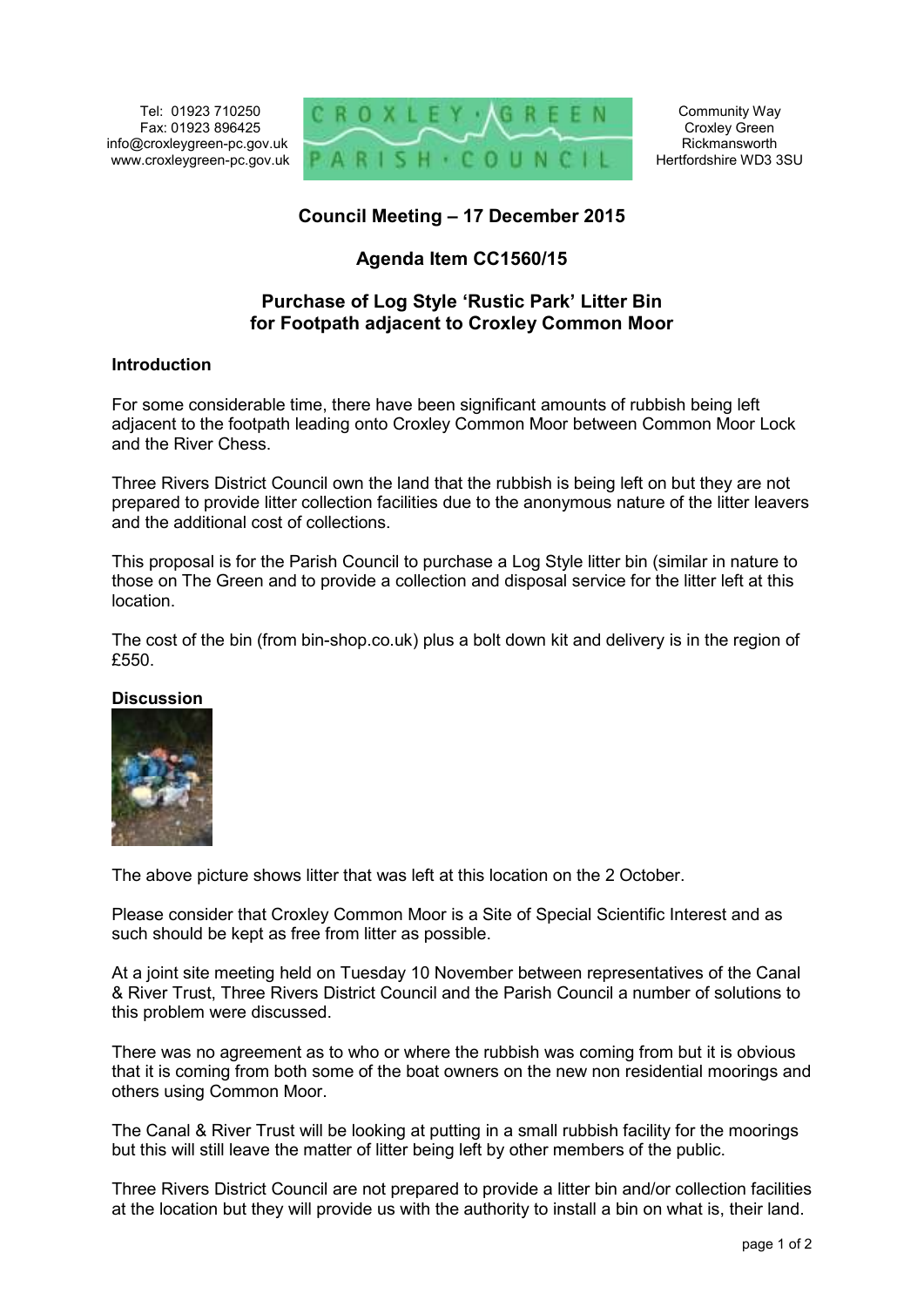Tel: 01923 710250 Fax: 01923 896425 info@croxleygreen-pc.gov.uk www.croxleygreen-pc.gov.uk



# **Council Meeting – 17 December 2015**

# **Agenda Item CC1560/15**

### **Purchase of Log Style 'Rustic Park' Litter Bin for Footpath adjacent to Croxley Common Moor**

#### **Introduction**

For some considerable time, there have been significant amounts of rubbish being left adjacent to the footpath leading onto Croxley Common Moor between Common Moor Lock and the River Chess.

Three Rivers District Council own the land that the rubbish is being left on but they are not prepared to provide litter collection facilities due to the anonymous nature of the litter leavers and the additional cost of collections.

This proposal is for the Parish Council to purchase a Log Style litter bin (similar in nature to those on The Green and to provide a collection and disposal service for the litter left at this location.

The cost of the bin (from bin-shop.co.uk) plus a bolt down kit and delivery is in the region of £550

#### **Discussion**



The above picture shows litter that was left at this location on the 2 October.

Please consider that Croxley Common Moor is a Site of Special Scientific Interest and as such should be kept as free from litter as possible.

At a joint site meeting held on Tuesday 10 November between representatives of the Canal & River Trust, Three Rivers District Council and the Parish Council a number of solutions to this problem were discussed.

There was no agreement as to who or where the rubbish was coming from but it is obvious that it is coming from both some of the boat owners on the new non residential moorings and others using Common Moor.

The Canal & River Trust will be looking at putting in a small rubbish facility for the moorings but this will still leave the matter of litter being left by other members of the public.

Three Rivers District Council are not prepared to provide a litter bin and/or collection facilities at the location but they will provide us with the authority to install a bin on what is, their land.